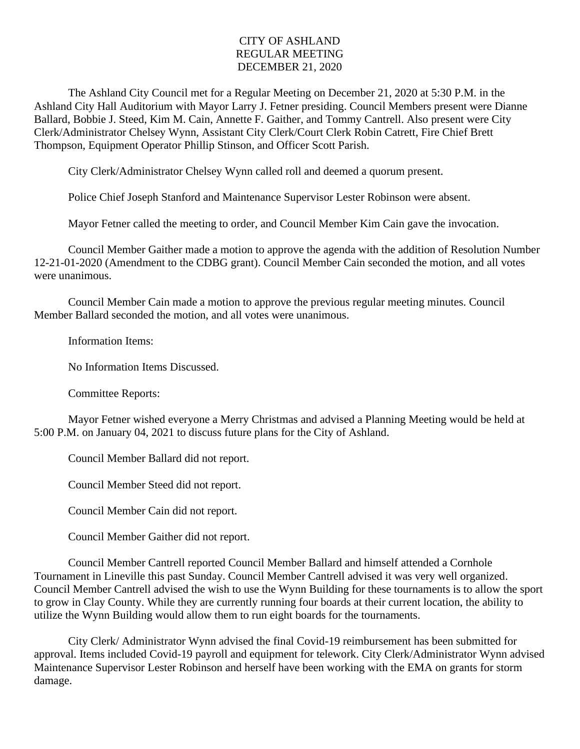## CITY OF ASHLAND REGULAR MEETING DECEMBER 21, 2020

The Ashland City Council met for a Regular Meeting on December 21, 2020 at 5:30 P.M. in the Ashland City Hall Auditorium with Mayor Larry J. Fetner presiding. Council Members present were Dianne Ballard, Bobbie J. Steed, Kim M. Cain, Annette F. Gaither, and Tommy Cantrell. Also present were City Clerk/Administrator Chelsey Wynn, Assistant City Clerk/Court Clerk Robin Catrett, Fire Chief Brett Thompson, Equipment Operator Phillip Stinson, and Officer Scott Parish.

City Clerk/Administrator Chelsey Wynn called roll and deemed a quorum present.

Police Chief Joseph Stanford and Maintenance Supervisor Lester Robinson were absent.

Mayor Fetner called the meeting to order, and Council Member Kim Cain gave the invocation.

Council Member Gaither made a motion to approve the agenda with the addition of Resolution Number 12-21-01-2020 (Amendment to the CDBG grant). Council Member Cain seconded the motion, and all votes were unanimous.

Council Member Cain made a motion to approve the previous regular meeting minutes. Council Member Ballard seconded the motion, and all votes were unanimous.

Information Items:

No Information Items Discussed.

Committee Reports:

Mayor Fetner wished everyone a Merry Christmas and advised a Planning Meeting would be held at 5:00 P.M. on January 04, 2021 to discuss future plans for the City of Ashland.

Council Member Ballard did not report.

Council Member Steed did not report.

Council Member Cain did not report.

Council Member Gaither did not report.

Council Member Cantrell reported Council Member Ballard and himself attended a Cornhole Tournament in Lineville this past Sunday. Council Member Cantrell advised it was very well organized. Council Member Cantrell advised the wish to use the Wynn Building for these tournaments is to allow the sport to grow in Clay County. While they are currently running four boards at their current location, the ability to utilize the Wynn Building would allow them to run eight boards for the tournaments.

City Clerk/ Administrator Wynn advised the final Covid-19 reimbursement has been submitted for approval. Items included Covid-19 payroll and equipment for telework. City Clerk/Administrator Wynn advised Maintenance Supervisor Lester Robinson and herself have been working with the EMA on grants for storm damage.